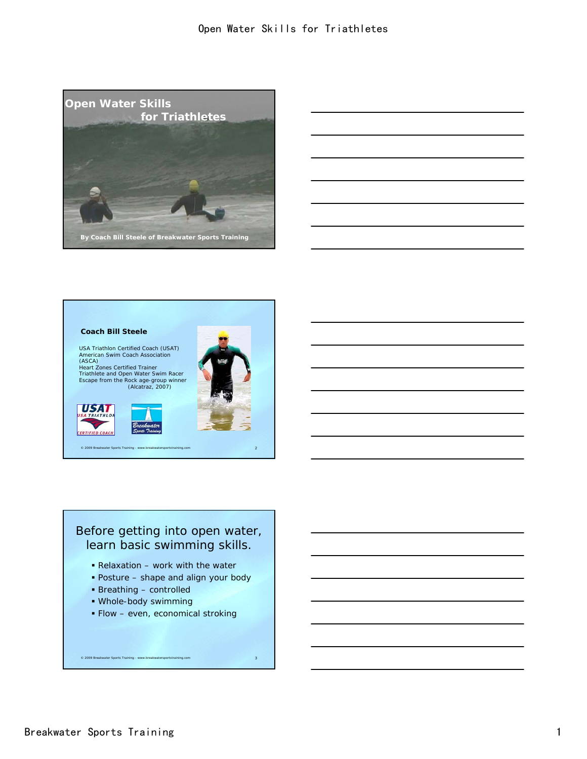

| <u> 1980 - Johann Barn, mars an t-Amerikaansk ferskeider (</u>                                                        |  |
|-----------------------------------------------------------------------------------------------------------------------|--|
|                                                                                                                       |  |
|                                                                                                                       |  |
| <u> 1989 - Johann Barn, mars ann an t-Amhain an t-Amhain an t-Amhain an t-Amhain an t-Amhain an t-Amhain an t-Amh</u> |  |
|                                                                                                                       |  |
|                                                                                                                       |  |
|                                                                                                                       |  |



USA Triathlon Certified Coach (USAT) American Swim Coach Association (ASCA) Heart Zones Certified Trainer

Triathlete and Open Water Swim Racer Escape from the Rock age-group winner (Alcatraz, 2007)



**USAT TRIATHLO ERTIFIED COACH** 



© 2009 Breakwater Sports Training - www.breakwatersportstraining.com 2



Relaxation – work with the water

- Posture shape and align your body
- Breathing controlled
- Whole-body swimming
- **Flow even, economical stroking**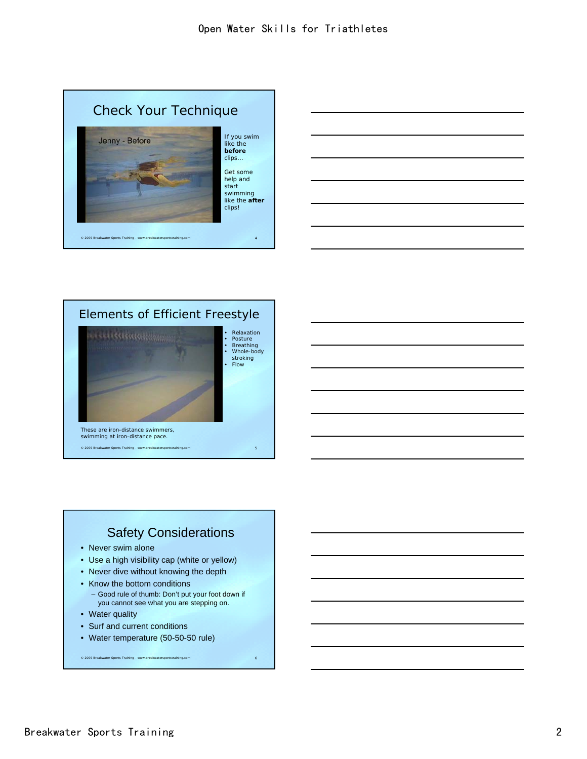







• Relaxation • Posture • Breathing • Whole-body stroking • Flow

© 2009 Breakwater Sports Training - www.breakwatersportstraining.com 5 These are iron-distance swimmers, swimming at iron-distance pace.

## Safety Considerations

- Never swim alone
- Use a high visibility cap (white or yellow)
- Never dive without knowing the depth
- Know the bottom conditions
- Good rule of thumb: Don't put your foot down if you cannot see what you are stepping on.

- Water quality
- Surf and current conditions
- Water temperature (50-50-50 rule)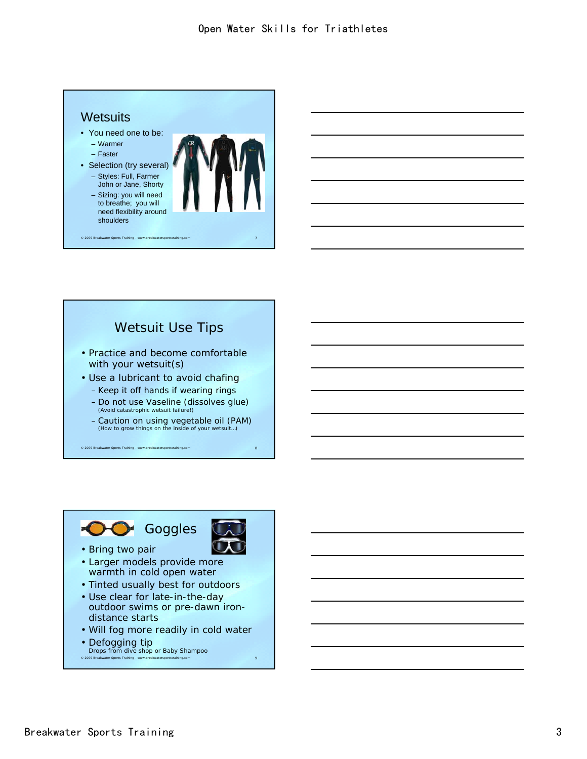

© 2009 Breakwater Sports Training

### Wetsuit Use Tips

- Practice and become comfortable with your wetsuit(s)
- Use a lubricant to avoid chafing – Keep it off hands if wearing rings
	- Do not use Vaseline (dissolves glue) (Avoid catastrophic wetsuit failure!)
	- Caution on using vegetable oil (PAM) (How to grow things on the inside of your wetsuit…)

© 2009 Breakwater Sports Training - www.breakwatersportstraining.com 8



- warmth in cold open water
- Tinted usually best for outdoors
- Use clear for late-in-the-day outdoor swims or pre-dawn irondistance starts
- Will fog more readily in cold water
- Defogging tip

© 2009 Breakwater Sports Training - www.breakwatersportstraining.com 9 Drops from dive shop or Baby Shampoo

```
Breakwater Sports Training 3
```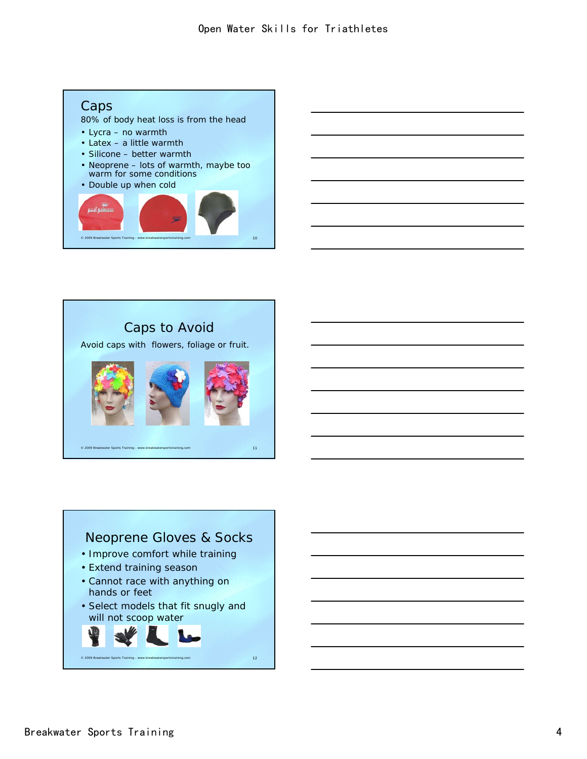

© 2009 Breakwater Sports Training - www.breakwatersportstraining.com 10

## Caps to Avoid

Avoid caps with flowers, foliage or fruit.



## Neoprene Gloves & Socks

- Improve comfort while training
- Extend training season
- Cannot race with anything on hands or feet
- Select models that fit snugly and will not scoop water

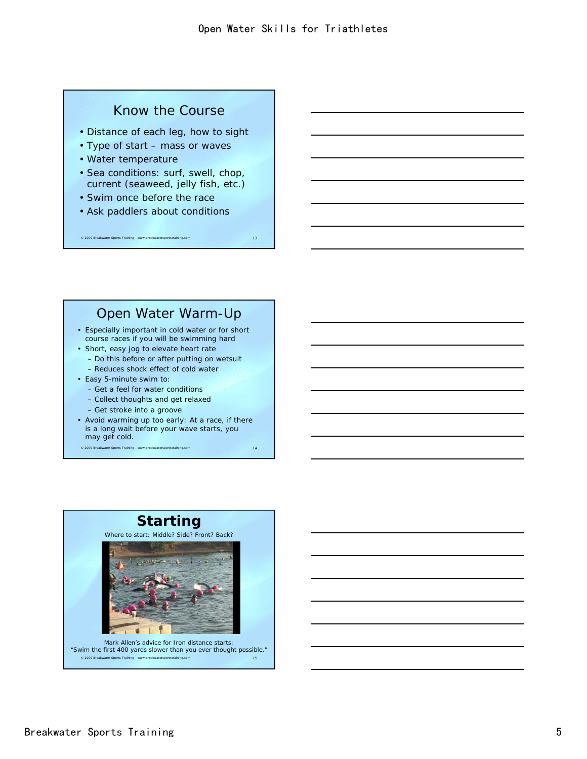### Know the Course

- Distance of each leg, how to sight
- Type of start mass or waves
- Water temperature
- Sea conditions: surf, swell, chop, current (seaweed, jelly fish, etc.)
- Swim once before the race
- Ask paddlers about conditions

### Open Water Warm-Up

© 2009 Breakwater Sports Training - www.breakwatersportstraining.com 13

- Especially important in cold water or for short course races if you will be swimming hard
- Short, easy jog to elevate heart rate – Do this before or after putting on wetsuit
	- Reduces shock effect of cold water
- Easy 5-minute swim to:
	- Get a feel for water conditions
	- Collect thoughts and get relaxed
	- Get stroke into a groove
- Avoid warming up too early: At a race, if there is a long wait before your wave starts, you may get cold.

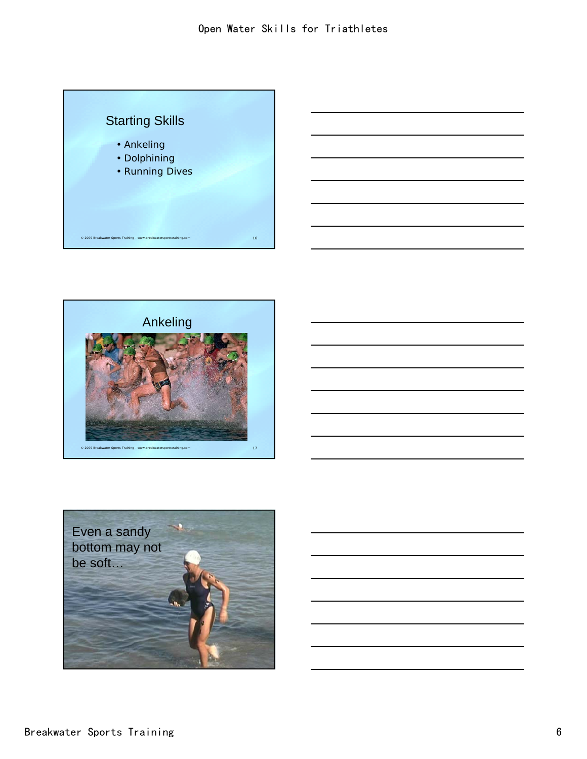



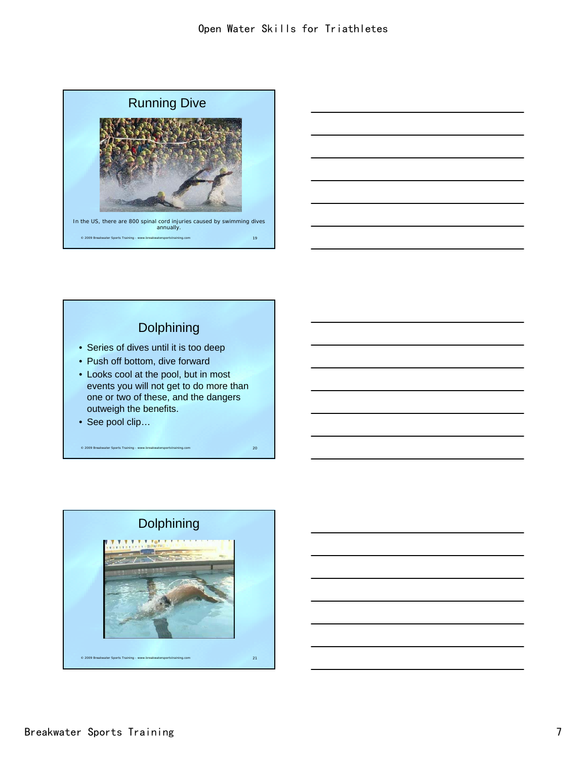



## Dolphining

- Series of dives until it is too deep
- Push off bottom, dive forward
- Looks cool at the pool, but in most events you will not get to do more than one or two of these, and the dangers outweigh the benefits.

© 2009 Breakwater Sports Training - www.breakwatersportstraining.com 20

• See pool clip…

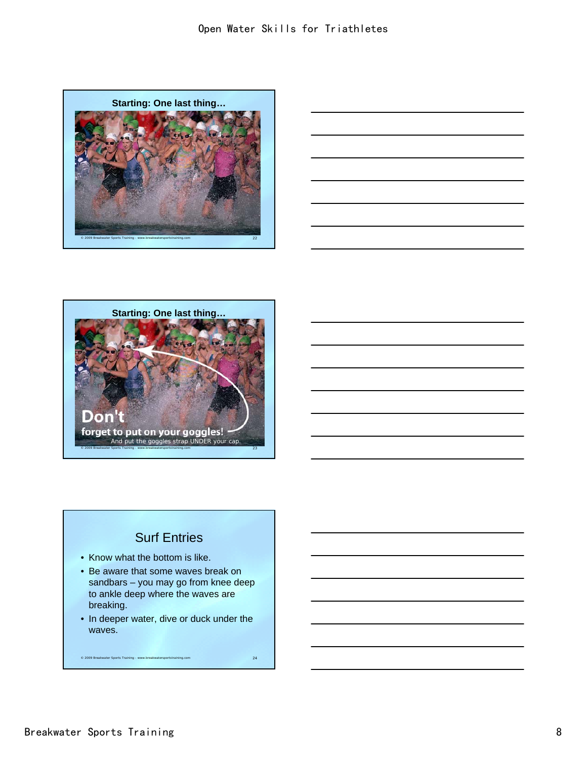





# Surf Entries

- Know what the bottom is like.
- Be aware that some waves break on sandbars – you may go from knee deep to ankle deep where the waves are breaking.
- In deeper water, dive or duck under the waves.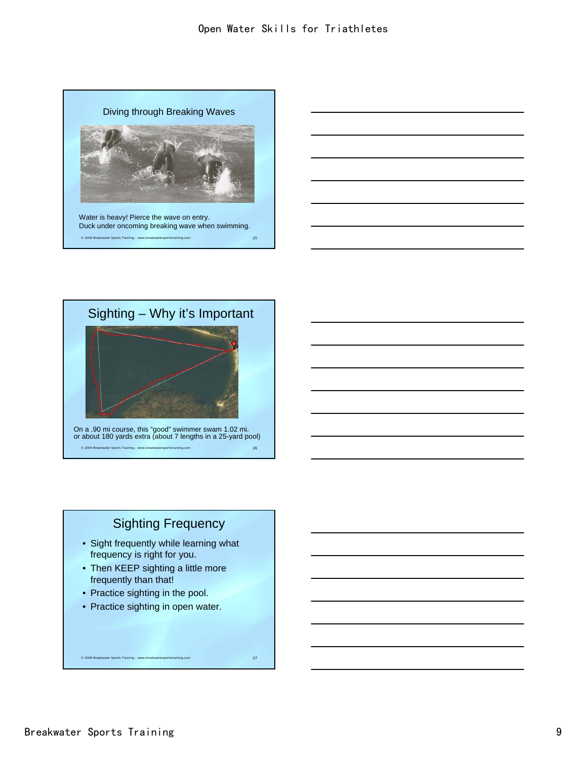



## Sighting Frequency

- Sight frequently while learning what frequency is right for you.
- Then KEEP sighting a little more frequently than that!
- Practice sighting in the pool.
- Practice sighting in open water.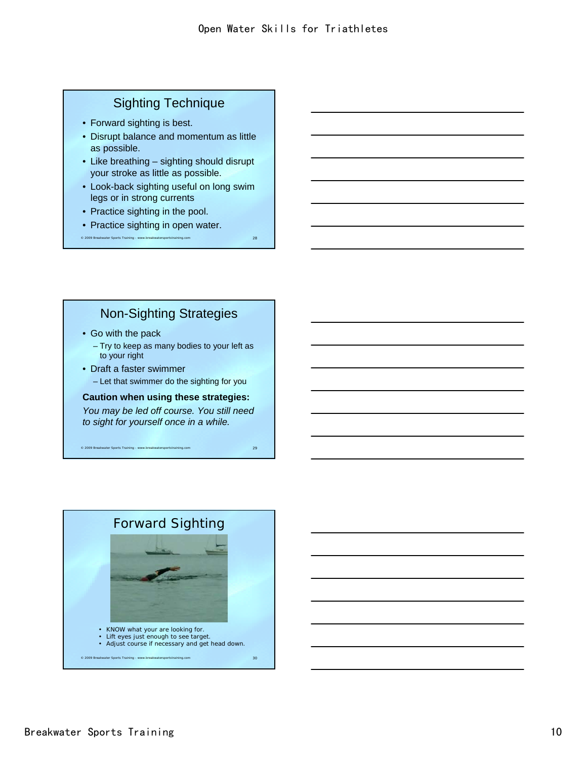## Sighting Technique

- Forward sighting is best.
- Disrupt balance and momentum as little as possible.
- Like breathing sighting should disrupt your stroke as little as possible.
- Look-back sighting useful on long swim legs or in strong currents
- Practice sighting in the pool.
- Practice sighting in open water.

© 2009 Breakwater Sports Training - www.breakwatersportstraining.com 28

### Non-Sighting Strategies

- Go with the pack
	- Try to keep as many bodies to your left as to your right
- Draft a faster swimmer
	- Let that swimmer do the sighting for you

### **Caution when using these strategies:**

*You may be led off course. You still need to sight for yourself once in a while.*

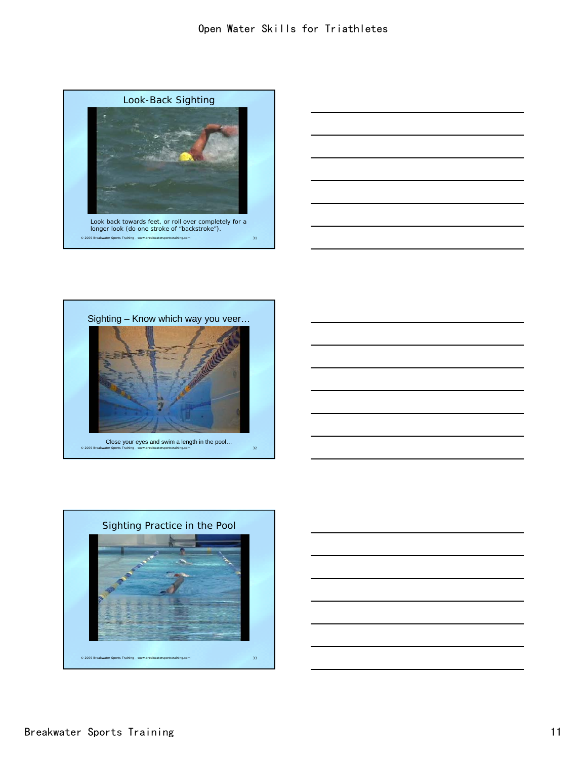









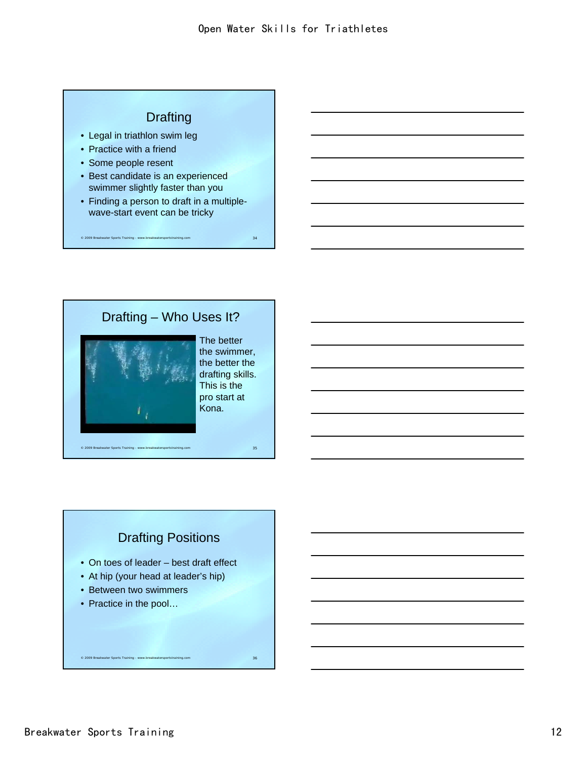## **Drafting**

- Legal in triathlon swim leg
- Practice with a friend
- Some people resent
- Best candidate is an experienced swimmer slightly faster than you
- Finding a person to draft in a multiplewave-start event can be tricky

© 2009 Breakwater Sports Training - www.breakwatersportstraining.com 34

# © 2009 Breakwater Sports Training - www.breakwatersportstraining.com 35 Drafting – Who Uses It?

The better the swimmer, the better the drafting skills. This is the pro start at Kona.

## Drafting Positions

- On toes of leader best draft effect
- At hip (your head at leader's hip)
- Between two swimmers
- Practice in the pool...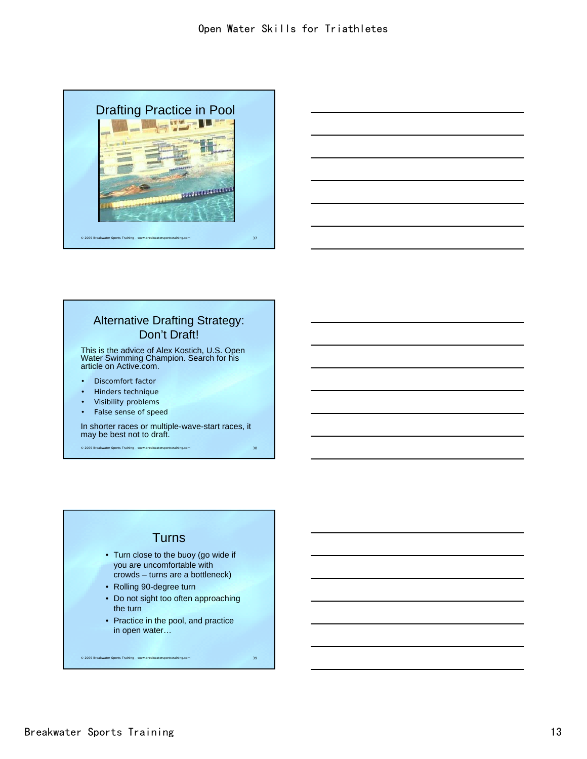



### Alternative Drafting Strategy: Don't Draft!

This is the advice of Alex Kostich, U.S. Open Water Swimming Champion. Search for his article on Active.com.

- Discomfort factor
- Hinders technique
- Visibility problems
- False sense of speed

In shorter races or multiple-wave-start races, it may be best not to draft.

© 2009 Breakwater Sports Training - www.breakwatersportstraining.com 38

### **Turns**

- Turn close to the buoy (go wide if you are uncomfortable with crowds – turns are a bottleneck)
- Rolling 90-degree turn
- Do not sight too often approaching the turn
- Practice in the pool, and practice in open water…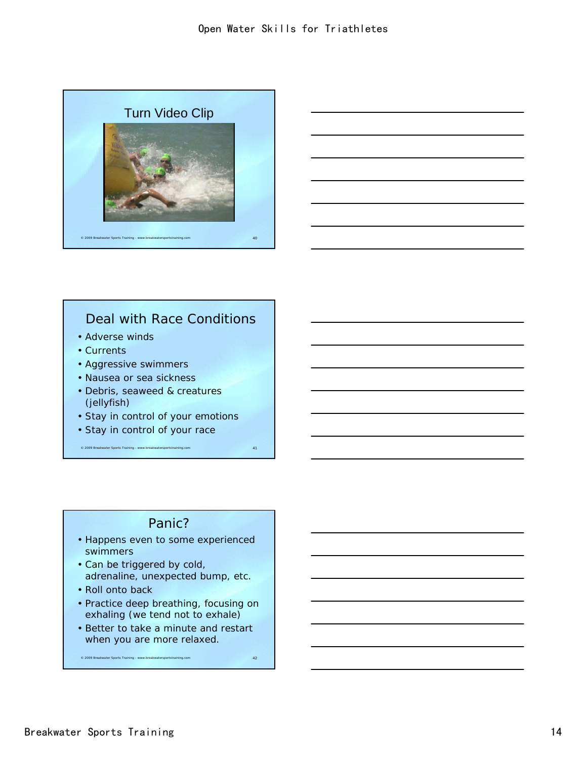



## Deal with Race Conditions

- Adverse winds
- Currents
- Aggressive swimmers
- Nausea or sea sickness
- Debris, seaweed & creatures (jellyfish)
- Stay in control of your emotions
- Stay in control of your race

### Panic?

© 2009 Breakwater Sports Training - www.breakwatersportstraining.com 41

- Happens even to some experienced swimmers
- Can be triggered by cold, adrenaline, unexpected bump, etc.
- Roll onto back
- Practice deep breathing, focusing on exhaling (we tend not to exhale)
- Better to take a minute and restart when you are more relaxed.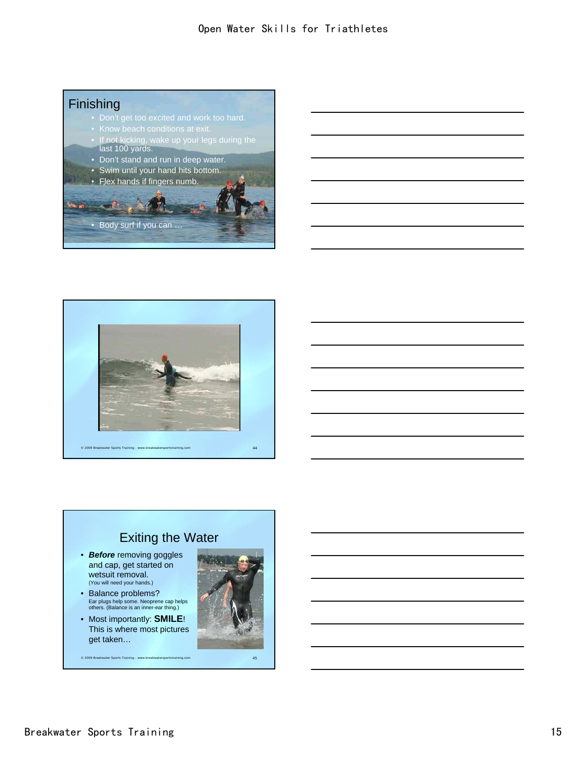## **Finishing**

- 
- 
- If not kicking, wake up your legs during the last 100 yards.
- Don't stand and run in deep water.
- Swim until your hand hits bottom.





### © 2009 Breakwater Sports Training - www.breakwatersportstraining.com 45 Exiting the Water • *Before* removing goggles and cap, get started on wetsuit removal. (You will need your hands.) • Balance problems? Ear plugs help some. Neoprene cap helps others. (Balance is an inner-ear thing.) • Most importantly: **SMILE**! This is where most pictures get taken…

### Breakwater Sports Training 15